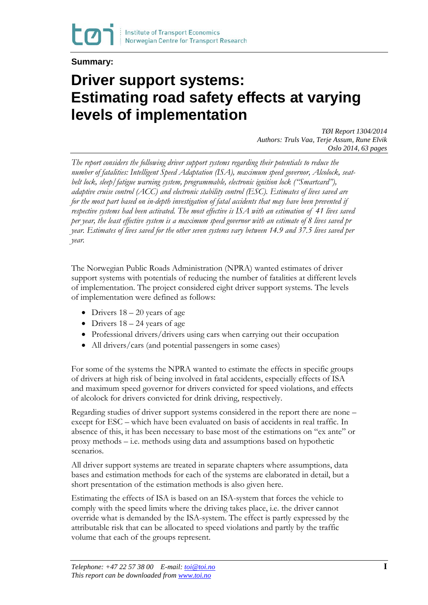## **Summary:**

## **Driver support systems: Estimating road safety effects at varying levels of implementation**

*TØI Report 1304/2014 Authors: Truls Vaa, Terje Assum, Rune Elvik Oslo 2014, 63 pages* 

*The report considers the following driver support systems regarding their potentials to reduce the number of fatalities: Intelligent Speed Adaptation (ISA), maximum speed governor, Alcolock, seatbelt lock, sleep/fatigue warning system, programmable, electronic ignition lock ("Smartcard"), adaptive cruise control (ACC) and electronic stability control (ESC). Estimates of lives saved are for the most part based on in-depth investigation of fatal accidents that may have been prevented if respective systems had been activated. The most effective is ISA with an estimation of 41 lives saved per year, the least effective system is a maximum speed governor with an estimate of 8 lives saved pr year. Estimates of lives saved for the other seven systems vary between 14.9 and 37.5 lives saved per year.*

The Norwegian Public Roads Administration (NPRA) wanted estimates of driver support systems with potentials of reducing the number of fatalities at different levels of implementation. The project considered eight driver support systems. The levels of implementation were defined as follows:

- Drivers  $18 20$  years of age
- Drivers  $18 24$  years of age
- Professional drivers/drivers using cars when carrying out their occupation
- All drivers/cars (and potential passengers in some cases)

For some of the systems the NPRA wanted to estimate the effects in specific groups of drivers at high risk of being involved in fatal accidents, especially effects of ISA and maximum speed governor for drivers convicted for speed violations, and effects of alcolock for drivers convicted for drink driving, respectively.

Regarding studies of driver support systems considered in the report there are none – except for ESC – which have been evaluated on basis of accidents in real traffic. In absence of this, it has been necessary to base most of the estimations on "ex ante" or proxy methods – i.e. methods using data and assumptions based on hypothetic scenarios.

All driver support systems are treated in separate chapters where assumptions, data bases and estimation methods for each of the systems are elaborated in detail, but a short presentation of the estimation methods is also given here.

Estimating the effects of ISA is based on an ISA-system that forces the vehicle to comply with the speed limits where the driving takes place, i.e. the driver cannot override what is demanded by the ISA-system. The effect is partly expressed by the attributable risk that can be allocated to speed violations and partly by the traffic volume that each of the groups represent.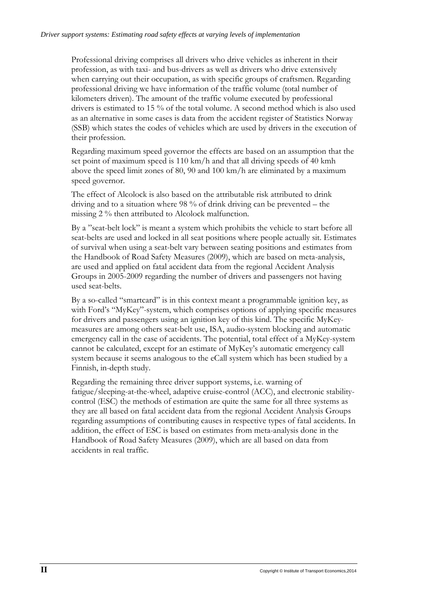Professional driving comprises all drivers who drive vehicles as inherent in their profession, as with taxi- and bus-drivers as well as drivers who drive extensively when carrying out their occupation, as with specific groups of craftsmen. Regarding professional driving we have information of the traffic volume (total number of kilometers driven). The amount of the traffic volume executed by professional drivers is estimated to 15 % of the total volume. A second method which is also used as an alternative in some cases is data from the accident register of Statistics Norway (SSB) which states the codes of vehicles which are used by drivers in the execution of their profession.

Regarding maximum speed governor the effects are based on an assumption that the set point of maximum speed is 110 km/h and that all driving speeds of 40 kmh above the speed limit zones of 80, 90 and 100 km/h are eliminated by a maximum speed governor.

The effect of Alcolock is also based on the attributable risk attributed to drink driving and to a situation where 98 % of drink driving can be prevented – the missing 2 % then attributed to Alcolock malfunction.

By a "seat-belt lock" is meant a system which prohibits the vehicle to start before all seat-belts are used and locked in all seat positions where people actually sit. Estimates of survival when using a seat-belt vary between seating positions and estimates from the Handbook of Road Safety Measures (2009), which are based on meta-analysis, are used and applied on fatal accident data from the regional Accident Analysis Groups in 2005-2009 regarding the number of drivers and passengers not having used seat-belts.

By a so-called "smartcard" is in this context meant a programmable ignition key, as with Ford's "MyKey"-system, which comprises options of applying specific measures for drivers and passengers using an ignition key of this kind. The specific MyKeymeasures are among others seat-belt use, ISA, audio-system blocking and automatic emergency call in the case of accidents. The potential, total effect of a MyKey-system cannot be calculated, except for an estimate of MyKey's automatic emergency call system because it seems analogous to the eCall system which has been studied by a Finnish, in-depth study.

Regarding the remaining three driver support systems, i.e. warning of fatigue/sleeping-at-the-wheel, adaptive cruise-control (ACC), and electronic stabilitycontrol (ESC) the methods of estimation are quite the same for all three systems as they are all based on fatal accident data from the regional Accident Analysis Groups regarding assumptions of contributing causes in respective types of fatal accidents. In addition, the effect of ESC is based on estimates from meta-analysis done in the Handbook of Road Safety Measures (2009), which are all based on data from accidents in real traffic.